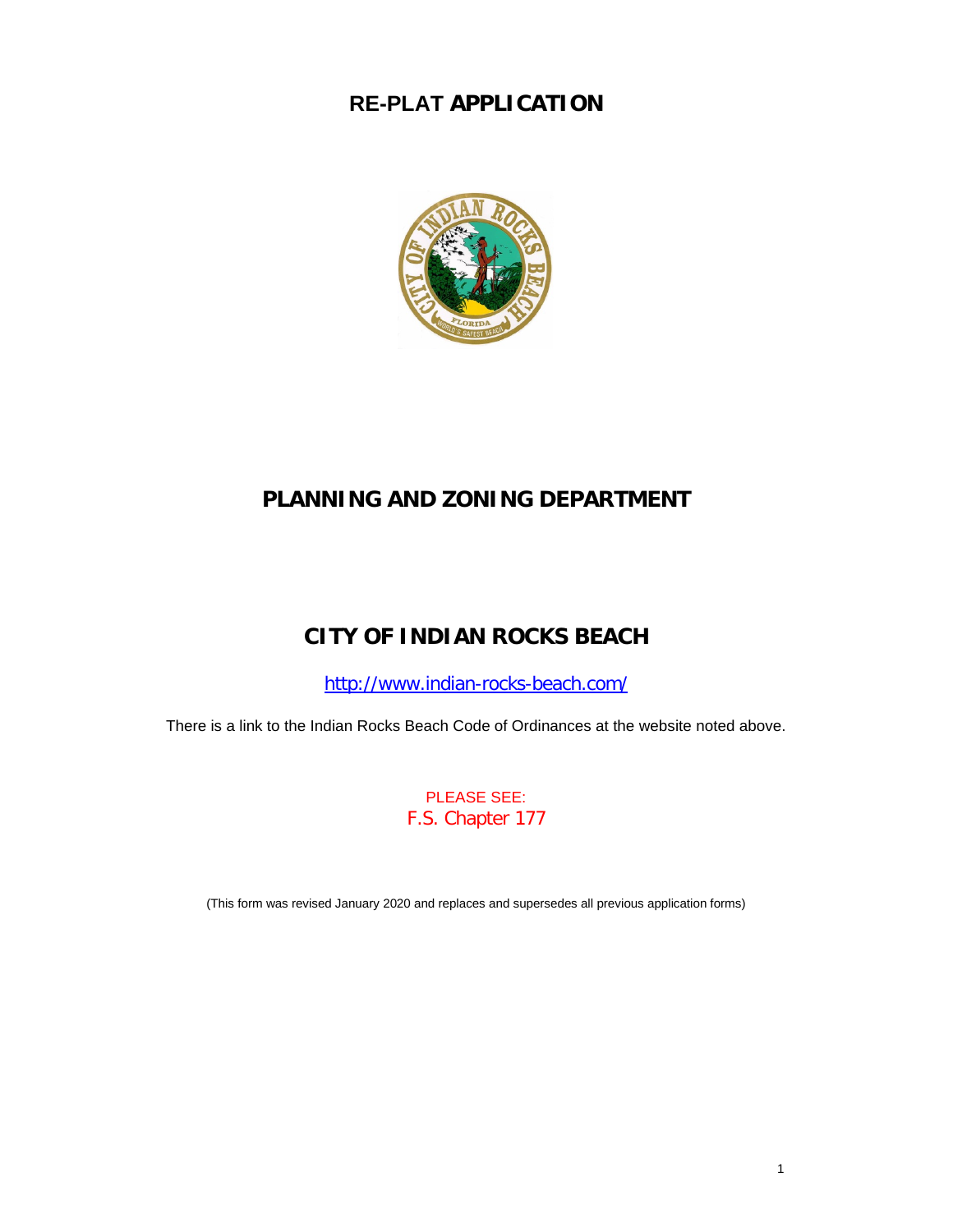# **RE-PLAT APPLICATION**



## **PLANNING AND ZONING DEPARTMENT**

# **CITY OF INDIAN ROCKS BEACH**

<http://www.indian-rocks-beach.com/>

There is a link to the Indian Rocks Beach Code of Ordinances at the website noted above.

PLEASE SEE: F.S. Chapter 177

(This form was revised January 2020 and replaces and supersedes all previous application forms)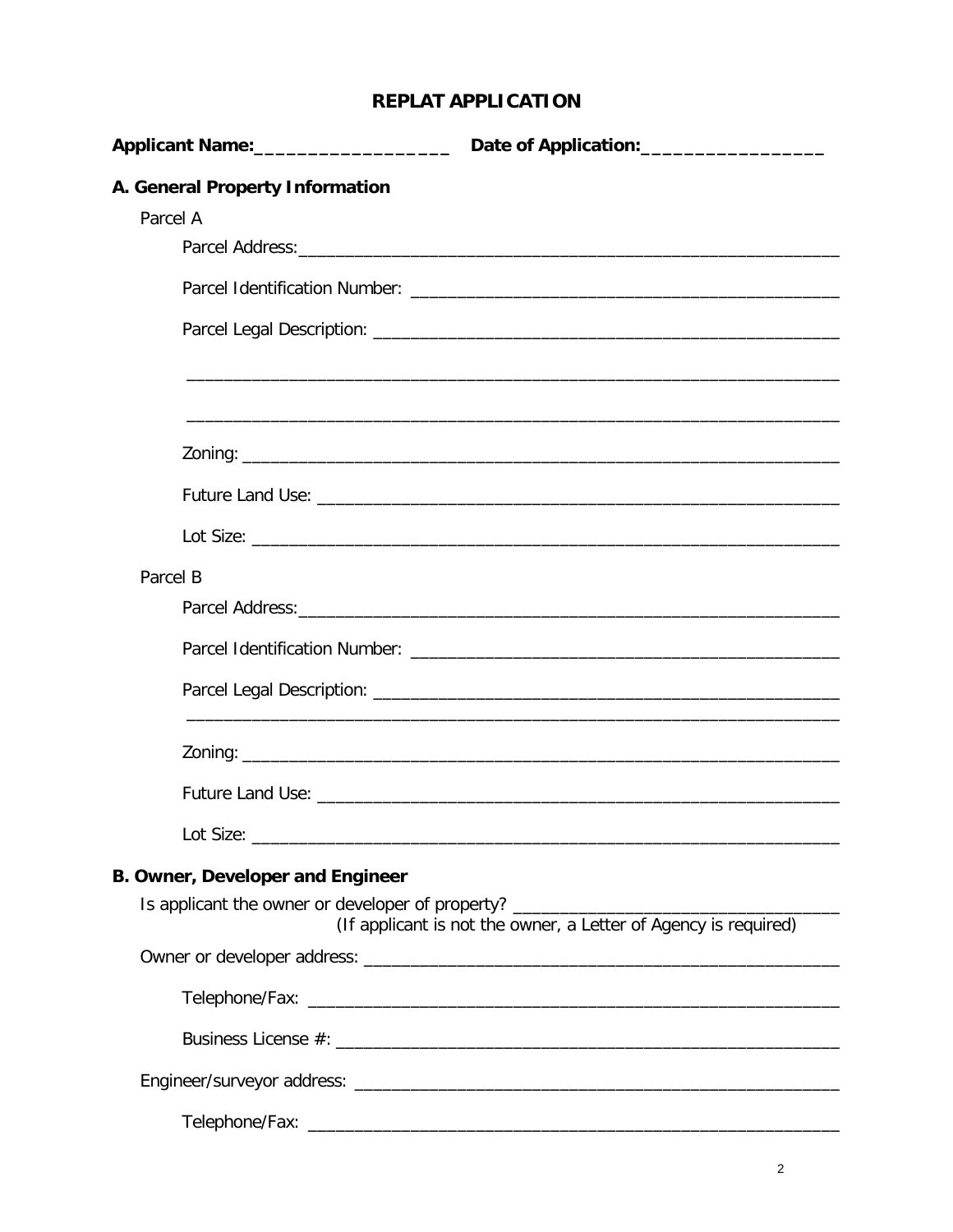## **REPLAT APPLICATION**

| Applicant Name: _______________________                                          | Date of Application:____________________                        |
|----------------------------------------------------------------------------------|-----------------------------------------------------------------|
| A. General Property Information                                                  |                                                                 |
| Parcel A                                                                         |                                                                 |
|                                                                                  |                                                                 |
|                                                                                  |                                                                 |
|                                                                                  |                                                                 |
|                                                                                  |                                                                 |
|                                                                                  |                                                                 |
|                                                                                  |                                                                 |
|                                                                                  |                                                                 |
|                                                                                  |                                                                 |
| Parcel B                                                                         |                                                                 |
|                                                                                  |                                                                 |
|                                                                                  |                                                                 |
|                                                                                  |                                                                 |
|                                                                                  |                                                                 |
|                                                                                  |                                                                 |
|                                                                                  |                                                                 |
| <b>B. Owner, Developer and Engineer</b>                                          |                                                                 |
| Is applicant the owner or developer of property? _______________________________ | (If applicant is not the owner, a Letter of Agency is required) |
|                                                                                  |                                                                 |
|                                                                                  |                                                                 |
|                                                                                  |                                                                 |
|                                                                                  |                                                                 |
|                                                                                  |                                                                 |